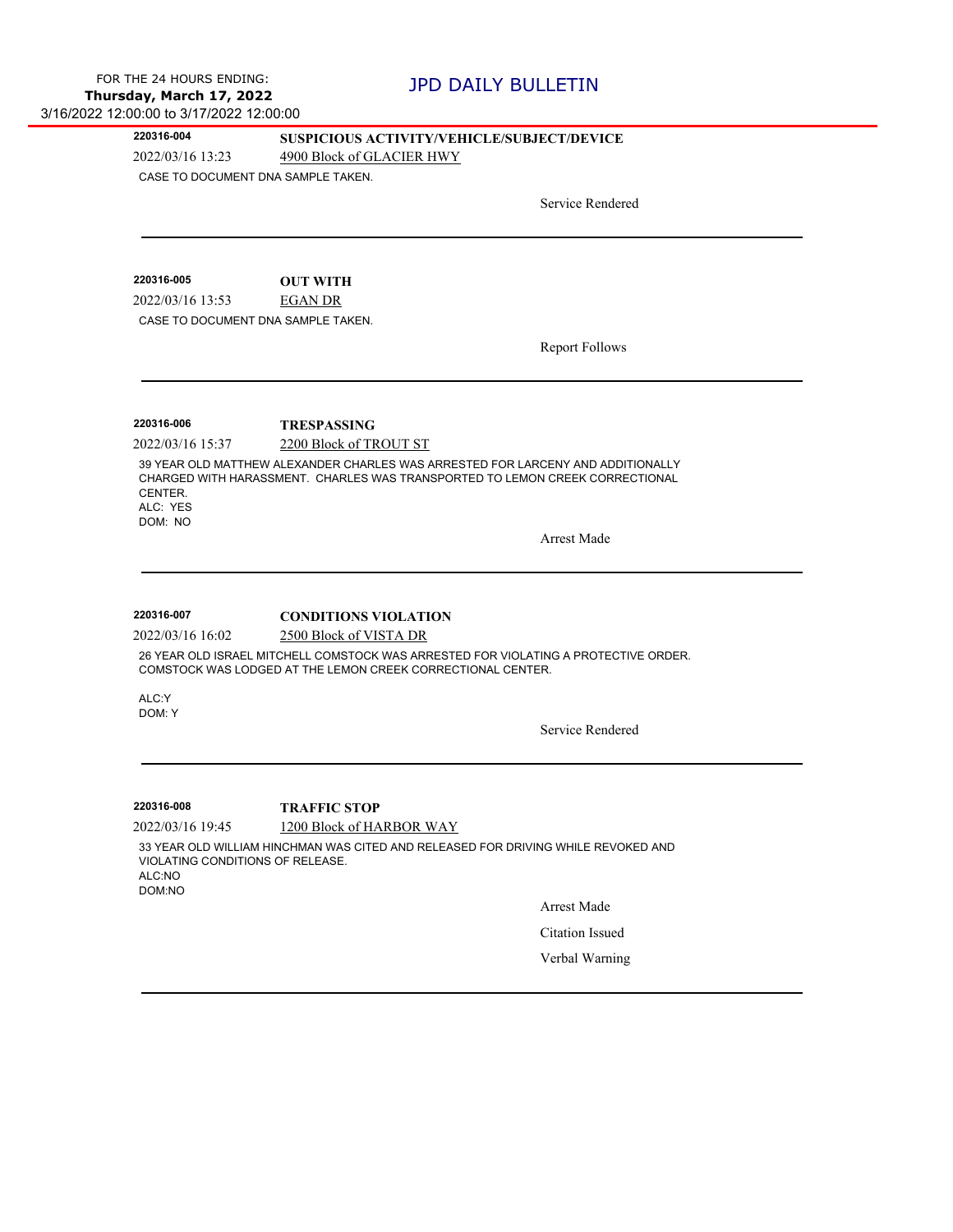## **220316-004 SUSPICIOUS ACTIVITY/VEHICLE/SUBJECT/DEVICE**

2022/03/16 13:23 4900 Block of GLACIER HWY

CASE TO DOCUMENT DNA SAMPLE TAKEN.

Service Rendered

2022/03/16 13:53 EGAN DR **220316-005 OUT WITH** CASE TO DOCUMENT DNA SAMPLE TAKEN.

Report Follows

**220316-006 TRESPASSING**

2022/03/16 15:37 2200 Block of TROUT ST

39 YEAR OLD MATTHEW ALEXANDER CHARLES WAS ARRESTED FOR LARCENY AND ADDITIONALLY CHARGED WITH HARASSMENT. CHARLES WAS TRANSPORTED TO LEMON CREEK CORRECTIONAL CENTER.

ALC: YES DOM: NO

Arrest Made

2022/03/16 16:02 2500 Block of VISTA DR **220316-007 CONDITIONS VIOLATION**

26 YEAR OLD ISRAEL MITCHELL COMSTOCK WAS ARRESTED FOR VIOLATING A PROTECTIVE ORDER. COMSTOCK WAS LODGED AT THE LEMON CREEK CORRECTIONAL CENTER.

ALC:Y DOM: Y

Service Rendered

**220316-008 TRAFFIC STOP**

2022/03/16 19:45 1200 Block of HARBOR WAY

33 YEAR OLD WILLIAM HINCHMAN WAS CITED AND RELEASED FOR DRIVING WHILE REVOKED AND VIOLATING CONDITIONS OF RELEASE. ALC:NO

DOM:NO

Arrest Made

Citation Issued

Verbal Warning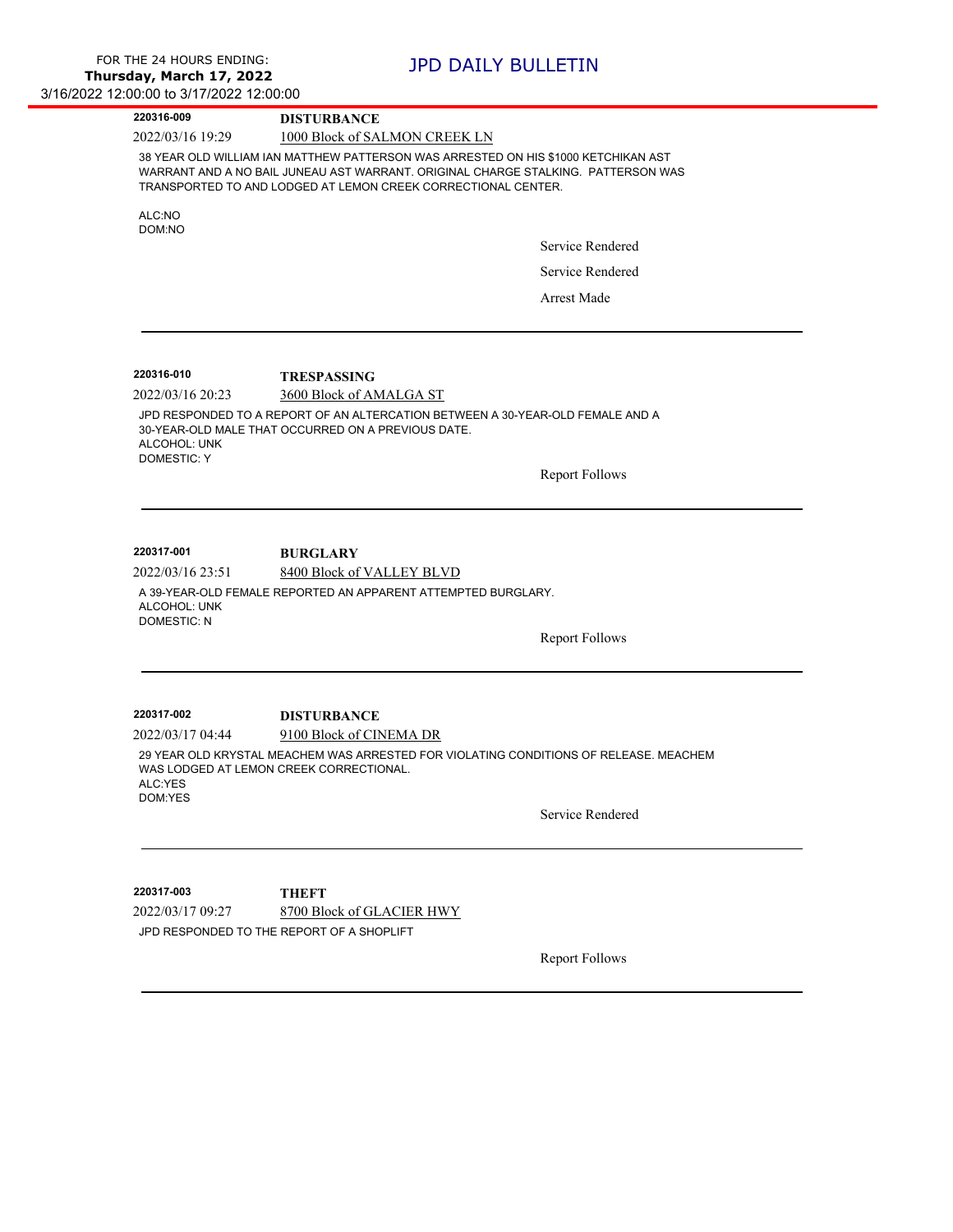| 220316-009                                                           | <b>DISTURBANCE</b>                                                                                                                                                                                                                       |                       |
|----------------------------------------------------------------------|------------------------------------------------------------------------------------------------------------------------------------------------------------------------------------------------------------------------------------------|-----------------------|
| 2022/03/16 19:29                                                     | 1000 Block of SALMON CREEK LN                                                                                                                                                                                                            |                       |
|                                                                      | 38 YEAR OLD WILLIAM IAN MATTHEW PATTERSON WAS ARRESTED ON HIS \$1000 KETCHIKAN AST<br>WARRANT AND A NO BAIL JUNEAU AST WARRANT. ORIGINAL CHARGE STALKING. PATTERSON WAS<br>TRANSPORTED TO AND LODGED AT LEMON CREEK CORRECTIONAL CENTER. |                       |
| ALC:NO                                                               |                                                                                                                                                                                                                                          |                       |
| DOM:NO                                                               |                                                                                                                                                                                                                                          | Service Rendered      |
|                                                                      |                                                                                                                                                                                                                                          | Service Rendered      |
|                                                                      |                                                                                                                                                                                                                                          | <b>Arrest Made</b>    |
| 220316-010                                                           | <b>TRESPASSING</b>                                                                                                                                                                                                                       |                       |
| 2022/03/16 20:23                                                     | 3600 Block of AMALGA ST                                                                                                                                                                                                                  |                       |
| ALCOHOL: UNK<br><b>DOMESTIC: Y</b>                                   | JPD RESPONDED TO A REPORT OF AN ALTERCATION BETWEEN A 30-YEAR-OLD FEMALE AND A<br>30-YEAR-OLD MALE THAT OCCURRED ON A PREVIOUS DATE.                                                                                                     |                       |
|                                                                      |                                                                                                                                                                                                                                          | <b>Report Follows</b> |
| 220317-001<br>2022/03/16 23:51<br>ALCOHOL: UNK<br><b>DOMESTIC: N</b> | <b>BURGLARY</b><br>8400 Block of VALLEY BLVD<br>A 39-YEAR-OLD FEMALE REPORTED AN APPARENT ATTEMPTED BURGLARY.                                                                                                                            | <b>Report Follows</b> |
| 220317-002                                                           | <b>DISTURBANCE</b>                                                                                                                                                                                                                       |                       |
| 2022/03/17 04:44                                                     | 9100 Block of CINEMA DR                                                                                                                                                                                                                  |                       |
| ALC:YES<br>DOM:YES                                                   | 29 YEAR OLD KRYSTAL MEACHEM WAS ARRESTED FOR VIOLATING CONDITIONS OF RELEASE. MEACHEM<br>WAS LODGED AT LEMON CREEK CORRECTIONAL.                                                                                                         |                       |
|                                                                      |                                                                                                                                                                                                                                          | Service Rendered      |
| 220317-003                                                           | <b>THEFT</b>                                                                                                                                                                                                                             |                       |
| 2022/03/17 09:27                                                     | 8700 Block of GLACIER HWY                                                                                                                                                                                                                |                       |
|                                                                      | JPD RESPONDED TO THE REPORT OF A SHOPLIFT                                                                                                                                                                                                |                       |
|                                                                      |                                                                                                                                                                                                                                          | <b>Report Follows</b> |